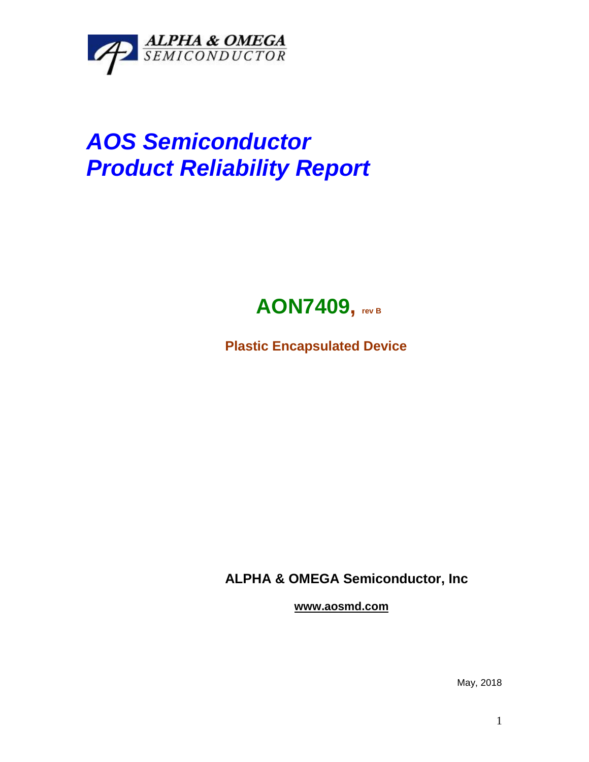

## *AOS Semiconductor Product Reliability Report*



**Plastic Encapsulated Device**

**ALPHA & OMEGA Semiconductor, Inc**

**www.aosmd.com**

May, 2018